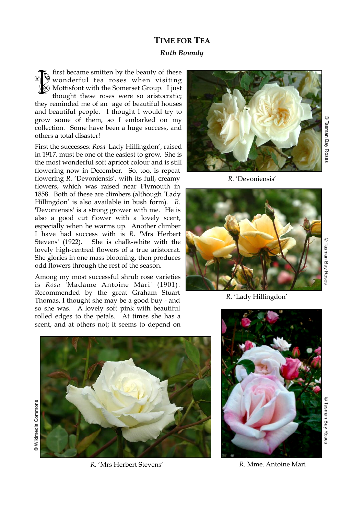## **TIME FOR TEA**  *Ruth Boundy*

first became smitten by the beauty of these wonderful tea roses when visiting Mottisfont with the Somerset Group. I just thought these roses were so aristocratic; they reminded me of an age of beautiful houses and beautiful people. I thought I would try to grow some of them, so I embarked on my collection. Some have been a huge success, and others a total disaster! ESSES STRAINS

First the successes: *Rosa* 'Lady Hillingdon', raised in 1917, must be one of the easiest to grow. She is the most wonderful soft apricot colour and is still flowering now in December. So, too, is repeat flowering *R.* 'Devoniensis', with its full, creamy flowers, which was raised near Plymouth in 1858. Both of these are climbers (although 'Lady Hillingdon' is also available in bush form). *R.* 'Devoniensis' is a strong grower with me. He is also a good cut flower with a lovely scent, especially when he warms up. Another climber I have had success with is *R.* 'Mrs Herbert Stevens' (1922). She is chalk-white with the lovely high-centred flowers of a true aristocrat. She glories in one mass blooming, then produces odd flowers through the rest of the season.

Among my most successful shrub rose varieties is *Rosa* 'Madame Antoine Mari' (1901). Recommended by the great Graham Stuart Thomas, I thought she may be a good buy - and so she was. A lovely soft pink with beautiful rolled edges to the petals. At times she has a scent, and at others not; it seems to depend on



© Tasman Bay Roses Tasman Bay Roses

*R.* 'Devoniensis'



© Tasman Bay Roses Tasman Bay Roses

*R.* 'Lady Hillingdon'



© Wikimedia Commons Wikimedia Commons

*R.* 'Mrs Herbert Stevens'



 *R.* Mme. Antoine Mari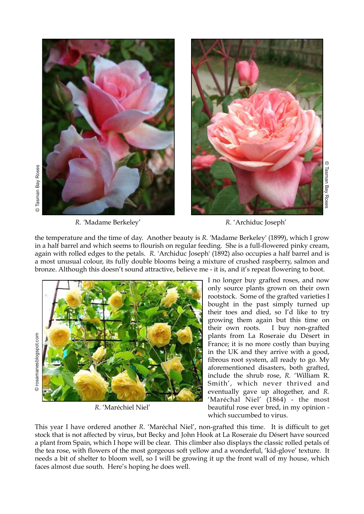

*R. '*Madame Berkeley' *R.* 'Archiduc Joseph'

the temperature and the time of day. Another beauty is *R.* 'Madame Berkeley' (1899), which I grow in a half barrel and which seems to flourish on regular feeding. She is a full-flowered pinky cream, again with rolled edges to the petals. *R.* 'Archiduc Joseph' (1892) also occupies a half barrel and is a most unusual colour, its fully double blooms being a mixture of crushed raspberry, salmon and bronze. Although this doesn't sound attractive, believe me - it is, and it's repeat flowering to boot.



*R.* 'Maréchiel Niel'

I no longer buy grafted roses, and now only source plants grown on their own rootstock. Some of the grafted varieties I bought in the past simply turned up their toes and died, so I'd like to try growing them again but this time on their own roots. I buy non-grafted plants from La Roseraie du Désert in France; it is no more costly than buying in the UK and they arrive with a good, fibrous root system, all ready to go. My aforementioned disasters, both grafted, include the shrub rose, *R.* 'William R. Smith', which never thrived and eventually gave up altogether, and *R.*  'Maréchal Niel' (1864) - the most beautiful rose ever bred, in my opinion which succumbed to virus.

This year I have ordered another *R.* 'Maréchal Niel', non-grafted this time. It is difficult to get stock that is not affected by virus, but Becky and John Hook at La Roseraie du Désert have sourced a plant from Spain, which I hope will be clear. This climber also displays the classic rolled petals of the tea rose, with flowers of the most gorgeous soft yellow and a wonderful, 'kid-glove' texture. It needs a bit of shelter to bloom well, so I will be growing it up the front wall of my house, which faces almost due south. Here's hoping he does well.